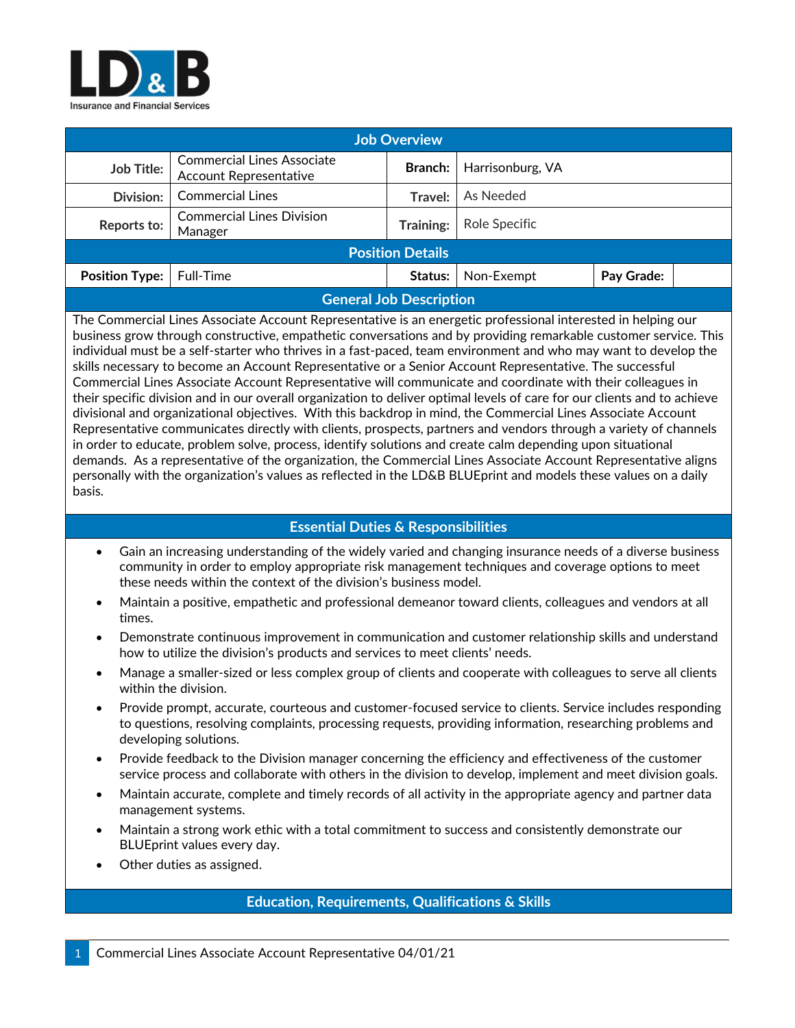

| <b>Job Overview</b>            |                                                                    |                |                  |            |  |
|--------------------------------|--------------------------------------------------------------------|----------------|------------------|------------|--|
| Job Title:                     | <b>Commercial Lines Associate</b><br><b>Account Representative</b> | <b>Branch:</b> | Harrisonburg, VA |            |  |
| <b>Division:</b>               | <b>Commercial Lines</b>                                            | Travel:        | As Needed        |            |  |
| Reports to:                    | <b>Commercial Lines Division</b><br>Manager                        | Training:      | Role Specific    |            |  |
| <b>Position Details</b>        |                                                                    |                |                  |            |  |
| <b>Position Type:</b>          | Full-Time                                                          | Status:        | Non-Exempt       | Pay Grade: |  |
| <b>General Job Description</b> |                                                                    |                |                  |            |  |

The Commercial Lines Associate Account Representative is an energetic professional interested in helping our business grow through constructive, empathetic conversations and by providing remarkable customer service. This individual must be a self-starter who thrives in a fast-paced, team environment and who may want to develop the skills necessary to become an Account Representative or a Senior Account Representative. The successful Commercial Lines Associate Account Representative will communicate and coordinate with their colleagues in their specific division and in our overall organization to deliver optimal levels of care for our clients and to achieve divisional and organizational objectives. With this backdrop in mind, the Commercial Lines Associate Account Representative communicates directly with clients, prospects, partners and vendors through a variety of channels in order to educate, problem solve, process, identify solutions and create calm depending upon situational demands. As a representative of the organization, the Commercial Lines Associate Account Representative aligns personally with the organization's values as reflected in the LD&B BLUEprint and models these values on a daily basis.

## **Essential Duties & Responsibilities**

- Gain an increasing understanding of the widely varied and changing insurance needs of a diverse business community in order to employ appropriate risk management techniques and coverage options to meet these needs within the context of the division's business model.
- Maintain a positive, empathetic and professional demeanor toward clients, colleagues and vendors at all times.
- Demonstrate continuous improvement in communication and customer relationship skills and understand how to utilize the division's products and services to meet clients' needs.
- Manage a smaller-sized or less complex group of clients and cooperate with colleagues to serve all clients within the division.
- Provide prompt, accurate, courteous and customer-focused service to clients. Service includes responding to questions, resolving complaints, processing requests, providing information, researching problems and developing solutions.
- Provide feedback to the Division manager concerning the efficiency and effectiveness of the customer service process and collaborate with others in the division to develop, implement and meet division goals.
- Maintain accurate, complete and timely records of all activity in the appropriate agency and partner data management systems.
- Maintain a strong work ethic with a total commitment to success and consistently demonstrate our BLUEprint values every day.
- Other duties as assigned.

## **Education, Requirements, Qualifications & Skills**